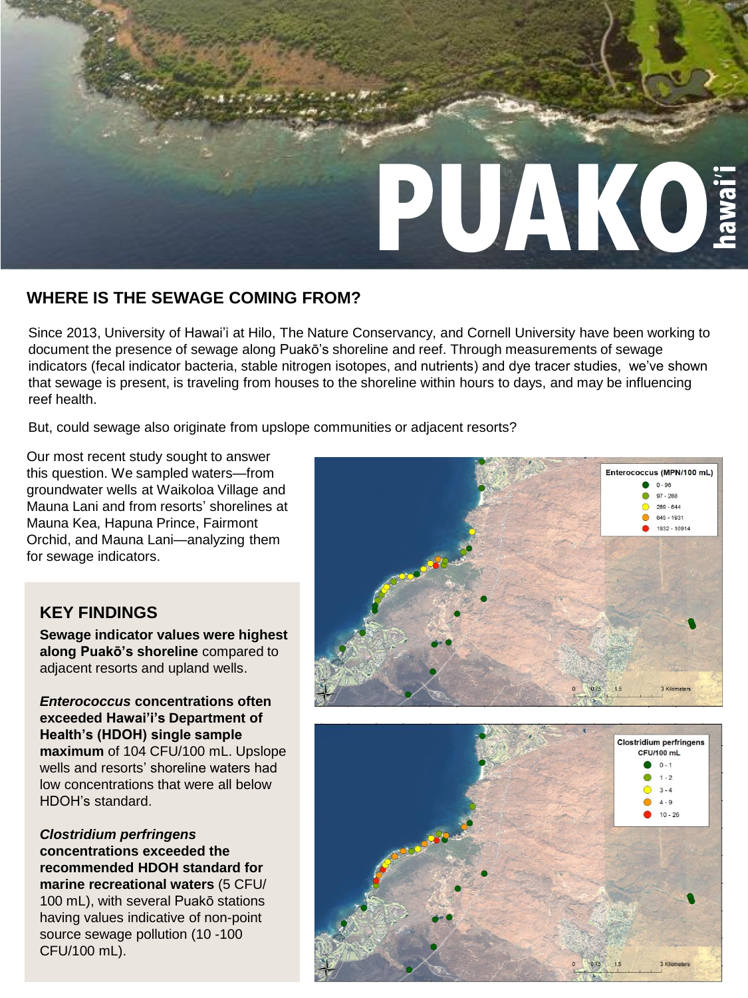

## **WHERE IS THE SEWAGE COMING FROM?**

Since 2013, University of Hawai'i at Hilo, The Nature Conservancy, and Cornell University have been working to document the presence of sewage along Puakō's shoreline and reef. Through measurements of sewage indicators (fecal indicator bacteria, stable nitrogen isotopes, and nutrients) and dye tracer studies, we've shown that sewage is present, is traveling from houses to the shoreline within hours to days, and may be influencing reef health.

But, could sewage also originate from upslope communities or adjacent resorts?

Our most recent study sought to answer this question. We sampled waters—from groundwater wells at Waikoloa Village and Mauna Lani and from resorts' shorelines at Mauna Kea, Hapuna Prince, Fairmont Orchid, and Mauna Lani—analyzing them for sewage indicators.

## **KEY FINDINGS**

**Sewage indicator values were highest along Puakō's shoreline** compared to adjacent resorts and upland wells.

*Enterococcus* **concentrations often exceeded Hawai'i's Department of Health's (HDOH) single sample maximum** of 104 CFU/100 mL. Upslope wells and resorts' shoreline waters had low concentrations that were all below HDOH's standard.

*Clostridium perfringens*  **concentrations exceeded the recommended HDOH standard for marine recreational waters** (5 CFU/ 100 mL), with several Puakō stations having values indicative of non-point source sewage pollution (10 -100 CFU/100 mL).